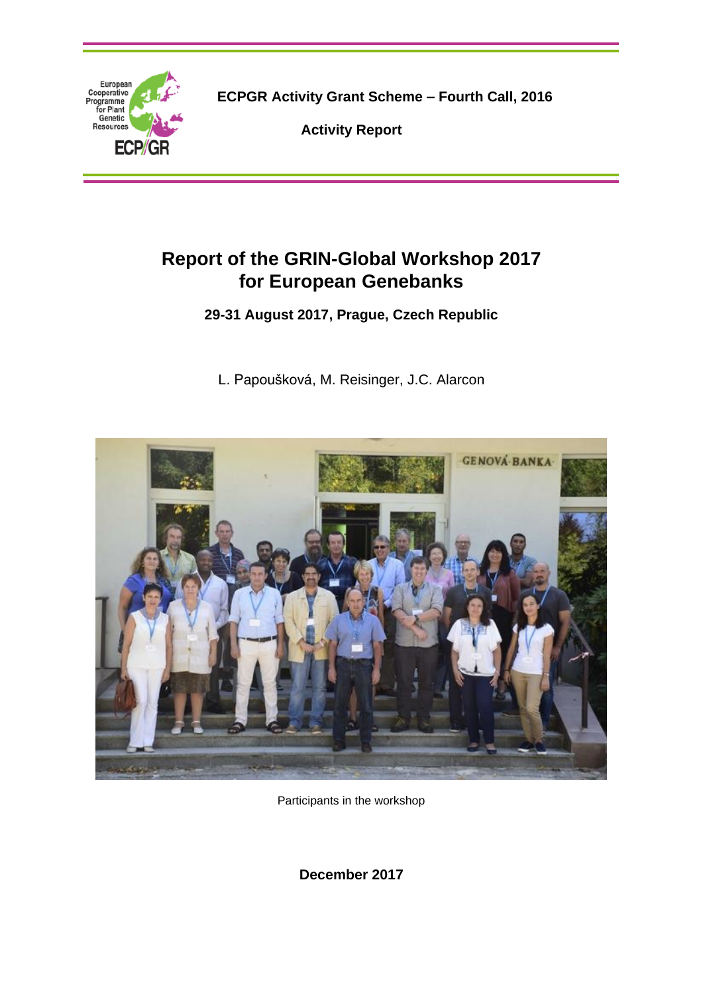

**ECPGR Activity Grant Scheme – Fourth Call, 2016**

**Activity Report**

# **Report of the GRIN-Global Workshop 2017 for European Genebanks**

**29-31 August 2017, Prague, Czech Republic**

[L. Papoušková,](javascript:linkTo_UnCryptMailto() M. Reisinger, J.C. Alarcon



Participants in the workshop

**December 2017**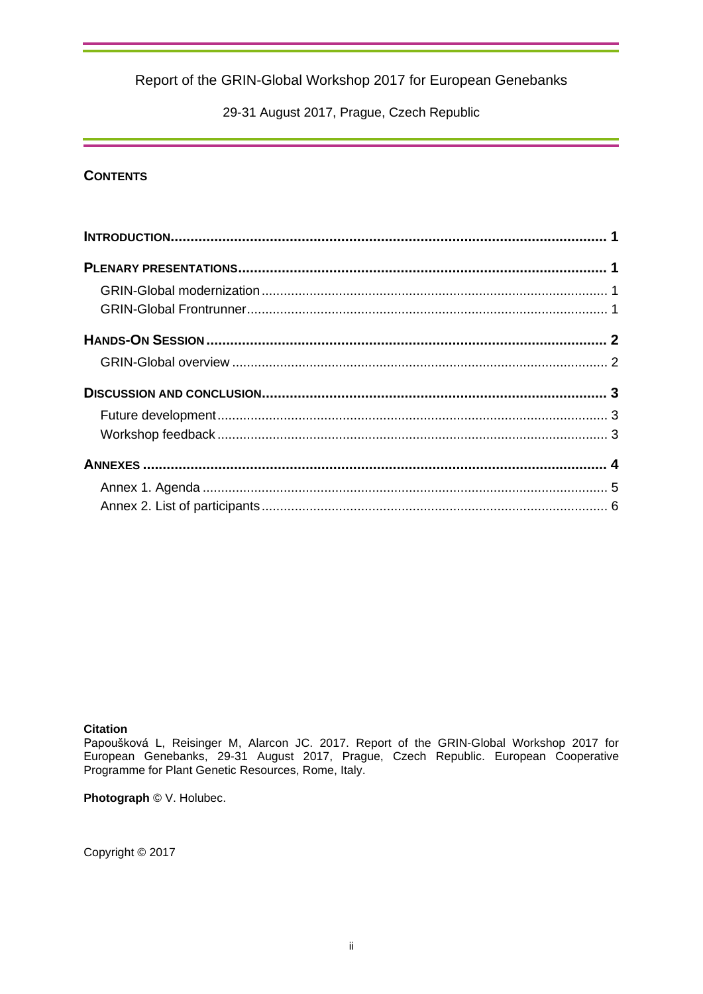29-31 August 2017, Prague, Czech Republic

## **CONTENTS**

### **Citation**

[Papoušková](javascript:linkTo_UnCryptMailto() L, Reisinger M, Alarcon JC. 2017. Report of the GRIN-Global Workshop 2017 for European Genebanks, 29-31 August 2017, Prague, Czech Republic. European Cooperative Programme for Plant Genetic Resources, Rome, Italy.

**Photograph** © V. Holubec.

Copyright © 2017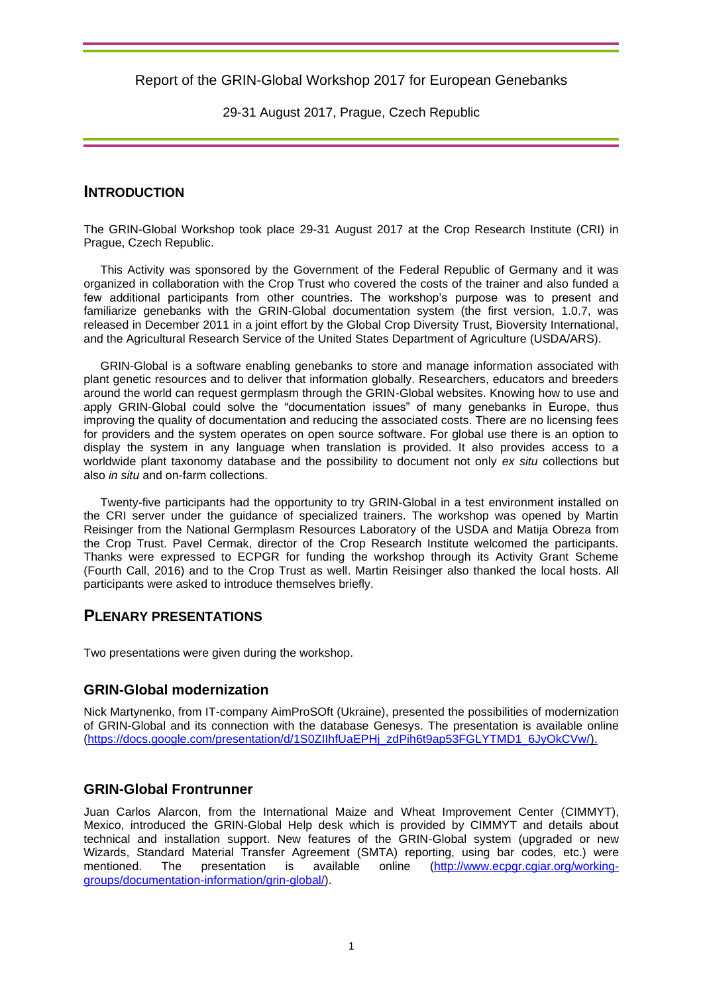29-31 August 2017, Prague, Czech Republic

## **INTRODUCTION**

The GRIN-Global Workshop took place 29-31 August 2017 at the Crop Research Institute (CRI) in Prague, Czech Republic.

This Activity was sponsored by the Government of the Federal Republic of Germany and it was organized in collaboration with the Crop Trust who covered the costs of the trainer and also funded a few additional participants from other countries. The workshop's purpose was to present and familiarize genebanks with the GRIN-Global documentation system (the first version, 1.0.7, was released in December 2011 in a joint effort by the Global Crop Diversity Trust, Bioversity International, and the Agricultural Research Service of the United States Department of Agriculture (USDA/ARS).

GRIN-Global is a software enabling genebanks to store and manage information associated with plant genetic resources and to deliver that information globally. Researchers, educators and breeders around the world can request germplasm through the GRIN-Global websites. Knowing how to use and apply GRIN-Global could solve the "documentation issues" of many genebanks in Europe, thus improving the quality of documentation and reducing the associated costs. There are no licensing fees for providers and the system operates on open source software. For global use there is an option to display the system in any language when translation is provided. It also provides access to a worldwide plant taxonomy database and the possibility to document not only *ex situ* collections but also *in situ* and on-farm collections.

Twenty-five participants had the opportunity to try GRIN-Global in a test environment installed on the CRI server under the guidance of specialized trainers. The workshop was opened by Martin Reisinger from the National Germplasm Resources Laboratory of the USDA and Matija Obreza from the Crop Trust. Pavel Cermak, director of the Crop Research Institute welcomed the participants. Thanks were expressed to ECPGR for funding the workshop through its Activity Grant Scheme (Fourth Call, 2016) and to the Crop Trust as well. Martin Reisinger also thanked the local hosts. All participants were asked to introduce themselves briefly.

## **PLENARY PRESENTATIONS**

Two presentations were given during the workshop.

## **GRIN-Global modernization**

Nick Martynenko, from IT-company AimProSOft (Ukraine), presented the possibilities of modernization of GRIN-Global and its connection with the database Genesys. The presentation is available online [\(https://docs.google.com/presentation/d/1S0ZIIhfUaEPHj\\_zdPih6t9ap53FGLYTMD1\\_6JyOkCVw/\)](https://docs.google.com/presentation/d/1S0ZIIhfUaEPHj_zdPih6t9ap53FGLYTMD1_6JyOkCVw/).

## **GRIN-Global Frontrunner**

Juan Carlos Alarcon, from the International Maize and Wheat Improvement Center (CIMMYT), Mexico, introduced the GRIN-Global Help desk which is provided by CIMMYT and details about technical and installation support. New features of the GRIN-Global system (upgraded or new Wizards, Standard Material Transfer Agreement (SMTA) reporting, using bar codes, etc.) were<br>mentioned. The presentation is available online (http://www.ecpgr.cgiar.org/working-mentioned. The presentation is available online [\(http://www.ecpgr.cgiar.org/working](http://www.ecpgr.cgiar.org/working-groups/documentation-information/grin-global/)[groups/documentation-information/grin-global/\)](http://www.ecpgr.cgiar.org/working-groups/documentation-information/grin-global/).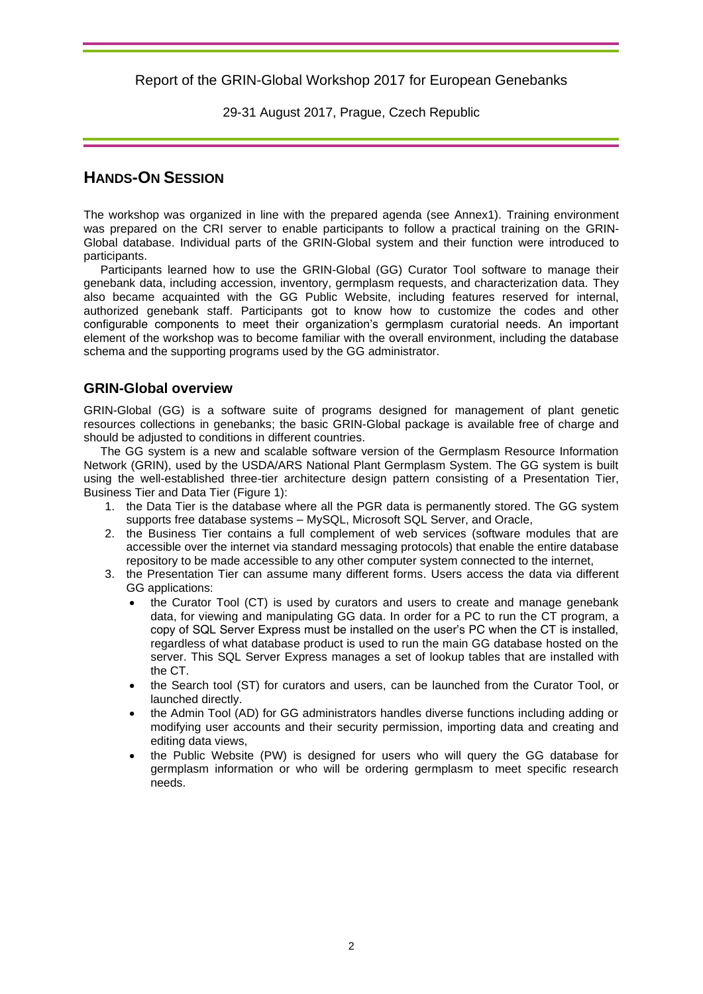29-31 August 2017, Prague, Czech Republic

## **HANDS-ON SESSION**

The workshop was organized in line with the prepared agenda (see Annex1). Training environment was prepared on the CRI server to enable participants to follow a practical training on the GRIN-Global database. Individual parts of the GRIN-Global system and their function were introduced to participants.

Participants learned how to use the GRIN-Global (GG) Curator Tool software to manage their genebank data, including accession, inventory, germplasm requests, and characterization data. They also became acquainted with the GG Public Website, including features reserved for internal, authorized genebank staff. Participants got to know how to customize the codes and other configurable components to meet their organization's germplasm curatorial needs. An important element of the workshop was to become familiar with the overall environment, including the database schema and the supporting programs used by the GG administrator.

## **GRIN-Global overview**

GRIN-Global (GG) is a software suite of programs designed for management of plant genetic resources collections in genebanks; the basic GRIN-Global package is available free of charge and should be adjusted to conditions in different countries.

The GG system is a new and scalable software version of the Germplasm Resource Information Network (GRIN), used by the USDA/ARS National Plant Germplasm System. The GG system is built using the well-established three-tier architecture design pattern consisting of a Presentation Tier, Business Tier and Data Tier (Figure 1):

- 1. the Data Tier is the database where all the PGR data is permanently stored. The GG system supports free database systems – MySQL, Microsoft SQL Server, and Oracle,
- 2. the Business Tier contains a full complement of web services (software modules that are accessible over the internet via standard messaging protocols) that enable the entire database repository to be made accessible to any other computer system connected to the internet,
- 3. the Presentation Tier can assume many different forms. Users access the data via different GG applications:
	- the Curator Tool (CT) is used by curators and users to create and manage genebank data, for viewing and manipulating GG data. In order for a PC to run the CT program, a copy of SQL Server Express must be installed on the user's PC when the CT is installed, regardless of what database product is used to run the main GG database hosted on the server. This SQL Server Express manages a set of lookup tables that are installed with the CT.
	- the Search tool (ST) for curators and users, can be launched from the Curator Tool, or launched directly.
	- the Admin Tool (AD) for GG administrators handles diverse functions including adding or modifying user accounts and their security permission, importing data and creating and editing data views,
	- the Public Website (PW) is designed for users who will query the GG database for germplasm information or who will be ordering germplasm to meet specific research needs.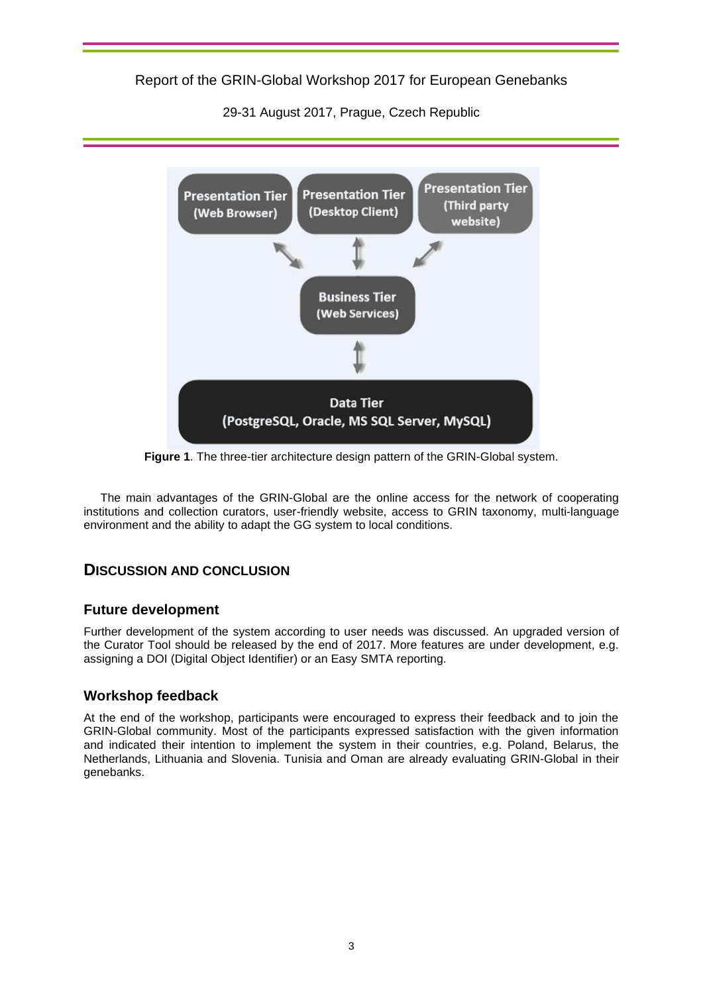29-31 August 2017, Prague, Czech Republic



**Figure 1**. The three-tier architecture design pattern of the GRIN-Global system.

The main advantages of the GRIN-Global are the online access for the network of cooperating institutions and collection curators, user-friendly website, access to GRIN taxonomy, multi-language environment and the ability to adapt the GG system to local conditions.

## **DISCUSSION AND CONCLUSION**

## **Future development**

Further development of the system according to user needs was discussed. An upgraded version of the Curator Tool should be released by the end of 2017. More features are under development, e.g. assigning a DOI (Digital Object Identifier) or an Easy SMTA reporting.

## **Workshop feedback**

At the end of the workshop, participants were encouraged to express their feedback and to join the GRIN-Global community. Most of the participants expressed satisfaction with the given information and indicated their intention to implement the system in their countries, e.g. Poland, Belarus, the Netherlands, Lithuania and Slovenia. Tunisia and Oman are already evaluating GRIN-Global in their genebanks.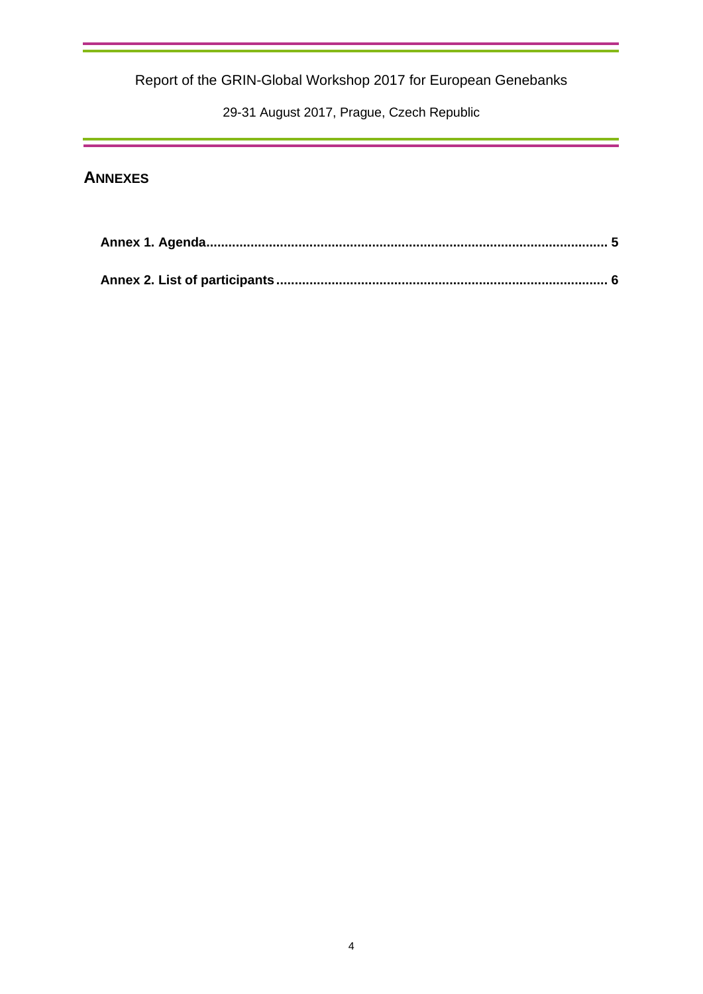29-31 August 2017, Prague, Czech Republic

# **ANNEXES**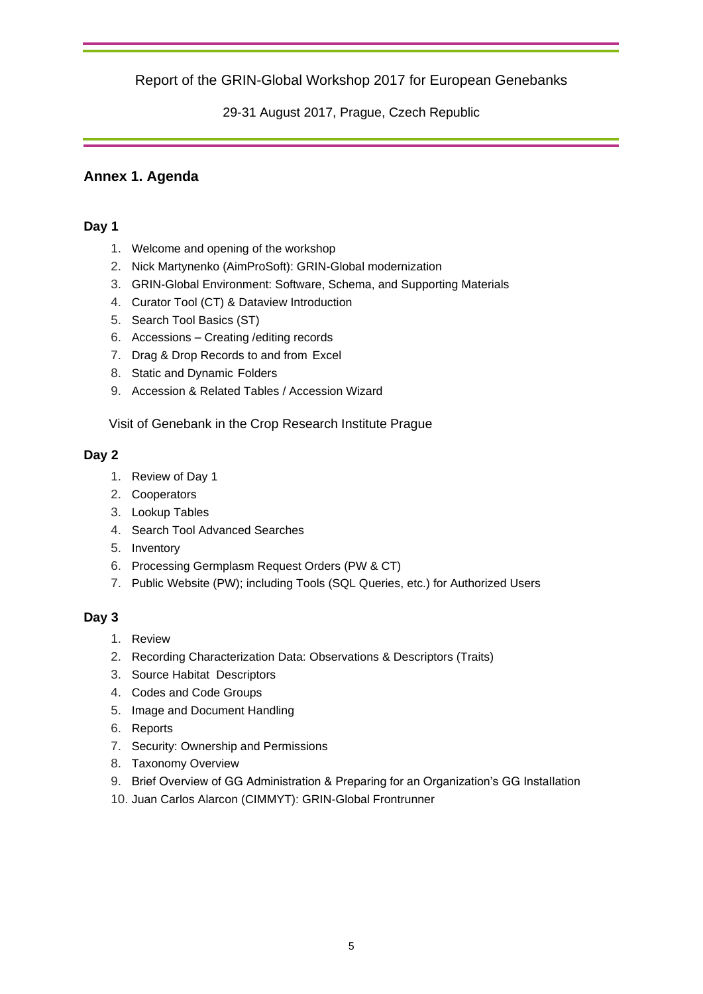29-31 August 2017, Prague, Czech Republic

## <span id="page-6-0"></span>**Annex 1. Agenda**

## **Day 1**

- 1. Welcome and opening of the workshop
- 2. Nick Martynenko (AimProSoft): GRIN-Global modernization
- 3. GRIN-Global Environment: Software, Schema, and Supporting Materials
- 4. Curator Tool (CT) & Dataview Introduction
- 5. Search Tool Basics (ST)
- 6. Accessions Creating /editing records
- 7. Drag & Drop Records to and from Excel
- 8. Static and Dynamic Folders
- 9. Accession & Related Tables / Accession Wizard

Visit of Genebank in the Crop Research Institute Prague

## **Day 2**

- 1. Review of Day 1
- 2. Cooperators
- 3. Lookup Tables
- 4. Search Tool Advanced Searches
- 5. Inventory
- 6. Processing Germplasm Request Orders (PW & CT)
- 7. Public Website (PW); including Tools (SQL Queries, etc.) for Authorized Users

## **Day 3**

- 1. Review
- 2. Recording Characterization Data: Observations & Descriptors (Traits)
- 3. Source Habitat Descriptors
- 4. Codes and Code Groups
- 5. Image and Document Handling
- 6. Reports
- 7. Security: Ownership and Permissions
- 8. Taxonomy Overview
- 9. Brief Overview of GG Administration & Preparing for an Organization's GG Installation
- 10. Juan Carlos Alarcon (CIMMYT): GRIN-Global Frontrunner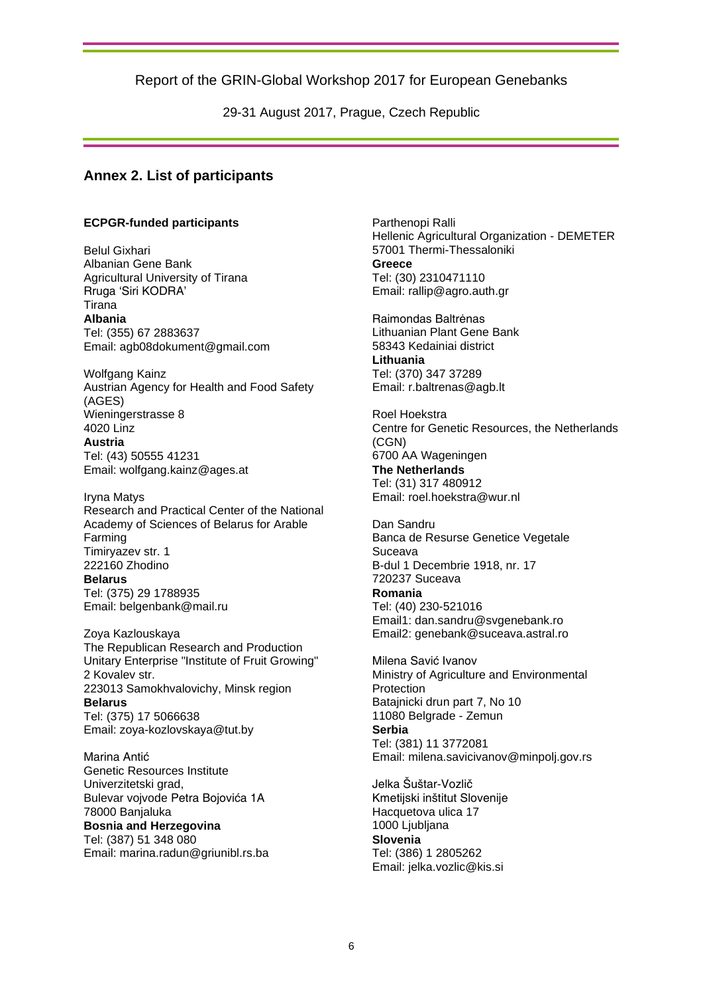29-31 August 2017, Prague, Czech Republic

## <span id="page-7-0"></span>**Annex 2. List of participants**

#### **ECPGR-funded participants**

Belul Gixhari Albanian Gene Bank Agricultural University of Tirana Rruga 'Siri KODRA' Tirana **Albania**  Tel: (355) 67 2883637 Email: agb08dokument@gmail.com

Wolfgang Kainz Austrian Agency for Health and Food Safety (AGES) Wieningerstrasse 8 4020 Linz **Austria**  Tel: (43) 50555 41231 Email: wolfgang.kainz@ages.at

Iryna Matys Research and Practical Center of the National Academy of Sciences of Belarus for Arable Farming Timiryazev str. 1 222160 Zhodino

#### **Belarus**

Tel: (375) 29 1788935 Email: belgenbank@mail.ru

Zoya Kazlouskaya The Republican Research and Production Unitary Enterprise "Institute of Fruit Growing" 2 Kovalev str. 223013 Samokhvalovichy, Minsk region **Belarus**  Tel: (375) 17 5066638 Email: zoya-kozlovskaya@tut.by

Marina Antić Genetic Resources Institute Univerzitetski grad, Bulevar vojvode Petra Bojovića 1A 78000 Banjaluka **Bosnia and Herzegovina**  Tel: (387) 51 348 080 Email: marina.radun@griunibl.rs.ba

Parthenopi Ralli Hellenic Agricultural Organization - DEMETER 57001 Thermi-Thessaloniki **Greece**  Tel: (30) 2310471110 Email: rallip@agro.auth.gr

Raimondas Baltrėnas Lithuanian Plant Gene Bank 58343 Kedainiai district **Lithuania**  Tel: (370) 347 37289 Email: r.baltrenas@agb.lt

Roel Hoekstra Centre for Genetic Resources, the Netherlands (CGN) 6700 AA Wageningen **The Netherlands**  Tel: (31) 317 480912 Email: roel.hoekstra@wur.nl

Dan Sandru Banca de Resurse Genetice Vegetale Suceava B-dul 1 Decembrie 1918, nr. 17 720237 Suceava **Romania**  Tel: (40) 230-521016 Email1: dan.sandru@svgenebank.ro Email2: genebank@suceava.astral.ro

Milena Savić Ivanov Ministry of Agriculture and Environmental Protection Batajnicki drun part 7, No 10 11080 Belgrade - Zemun **Serbia**  Tel: (381) 11 3772081 Email: milena.savicivanov@minpolj.gov.rs

Jelka Šuštar-Vozlič Kmetijski inštitut Slovenije Hacquetova ulica 17 1000 Ljubljana **Slovenia**  Tel: (386) 1 2805262 Email: jelka.vozlic@kis.si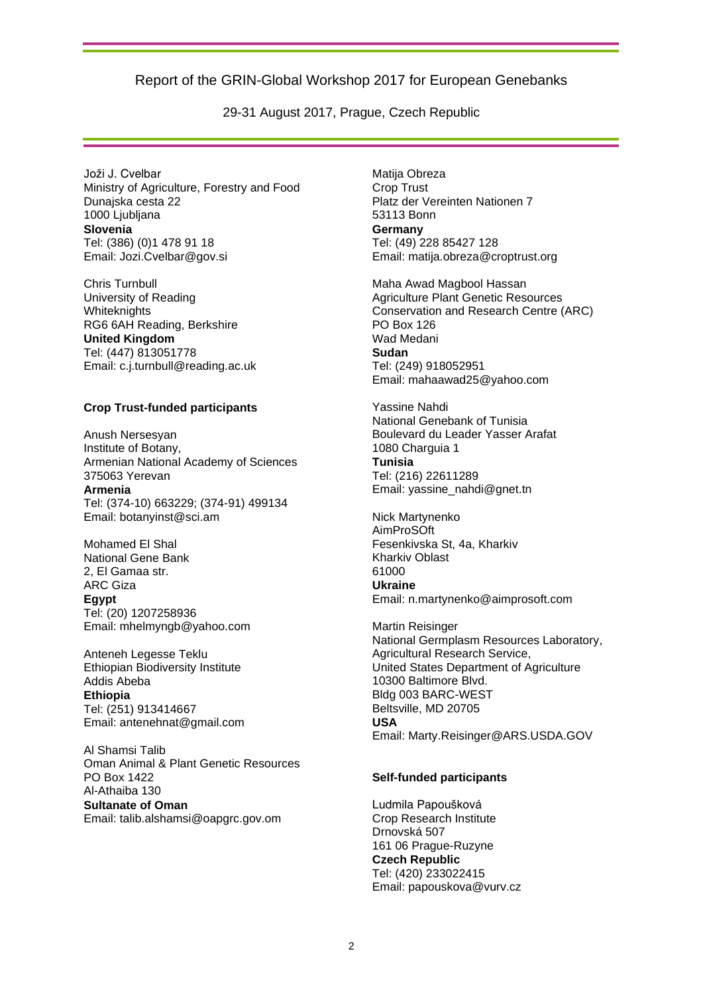29-31 August 2017, Prague, Czech Republic

Joži J. Cvelbar Ministry of Agriculture, Forestry and Food Dunajska cesta 22 1000 Liubliana **Slovenia**  Tel: (386) (0)1 478 91 18 Email: Jozi.Cvelbar@gov.si

Chris Turnbull University of Reading **Whiteknights** RG6 6AH Reading, Berkshire **United Kingdom**  Tel: (447) 813051778 Email: c.j.turnbull@reading.ac.uk

#### **Crop Trust-funded participants**

Anush Nersesyan Institute of Botany, Armenian National Academy of Sciences 375063 Yerevan **Armenia**  Tel: (374-10) 663229; (374-91) 499134 Email: botanyinst@sci.am

Mohamed El Shal National Gene Bank 2, El Gamaa str. ARC Giza **Egypt** Tel: (20) 1207258936 Email: mhelmyngb@yahoo.com

Anteneh Legesse Teklu Ethiopian Biodiversity Institute Addis Abeba **Ethiopia** Tel: (251) 913414667 Email: antenehnat@gmail.com

Al Shamsi Talib Oman Animal & Plant Genetic Resources PO Box 1422 Al-Athaiba 130 **Sultanate of Oman** Email: talib.alshamsi@oapgrc.gov.om

Matija Obreza Crop Trust Platz der Vereinten Nationen 7 53113 Bonn **Germany**  Tel: (49) 228 85427 128 Email: matija.obreza@croptrust.org

Maha Awad Magbool Hassan Agriculture Plant Genetic Resources Conservation and Research Centre (ARC) PO Box 126 Wad Medani **Sudan** Tel: (249) 918052951 Email: mahaawad25@yahoo.com

Yassine Nahdi National Genebank of Tunisia Boulevard du Leader Yasser Arafat 1080 Charguia 1 **Tunisia** Tel: (216) 22611289 Email: yassine\_nahdi@gnet.tn

Nick Martynenko AimProSOft Fesenkivska St, 4a, Kharkiv Kharkiv Oblast 61000 **Ukraine** Email: n.martynenko@aimprosoft.com

Martin Reisinger National Germplasm Resources Laboratory, Agricultural Research Service, United States Department of Agriculture 10300 Baltimore Blvd. Bldg 003 BARC-WEST Beltsville, MD 20705 **USA** Email: Marty.Reisinger@ARS.USDA.GOV

#### **Self-funded participants**

Ludmila Papoušková Crop Research Institute Drnovská 507 161 06 Prague-Ruzyne **Czech Republic**  Tel: (420) 233022415 Email: papouskova@vurv.cz